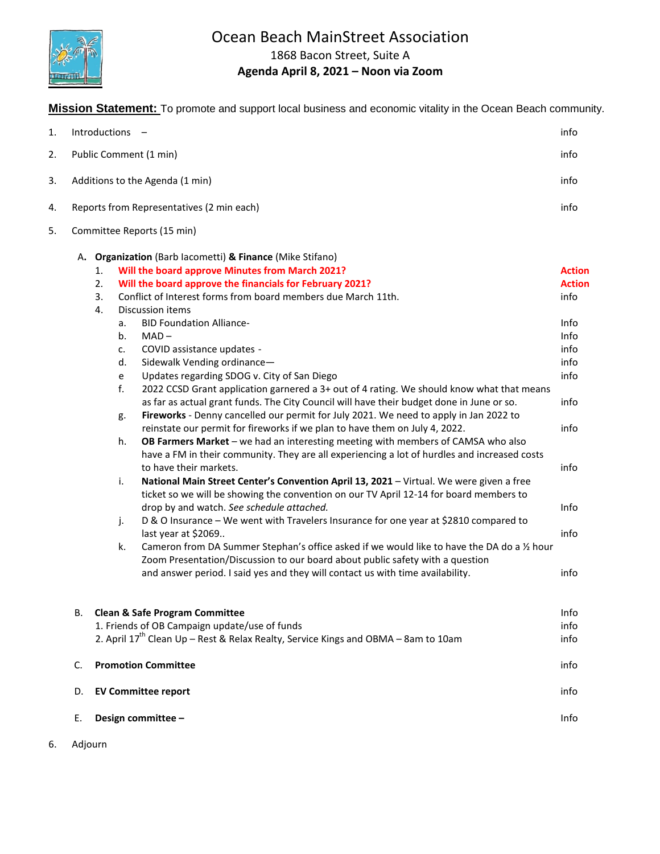

## Ocean Beach MainStreet Association

1868 Bacon Street, Suite A

## **Agenda April 8, 2021 – Noon via Zoom**

**Mission Statement:** To promote and support local business and economic vitality in the Ocean Beach community.

| 1. |    | Introductions -                                                                                                                                                                                                                                                                                                                                                                                                                                                                                                                                                                                                                                                                                                                                                                                                                                                                                                                                                                                                                                                                                                                                                                                                                                                                                                                                                                                                                                                                                                                                                                                                                                                                                                                                       | info                                                                                                                           |
|----|----|-------------------------------------------------------------------------------------------------------------------------------------------------------------------------------------------------------------------------------------------------------------------------------------------------------------------------------------------------------------------------------------------------------------------------------------------------------------------------------------------------------------------------------------------------------------------------------------------------------------------------------------------------------------------------------------------------------------------------------------------------------------------------------------------------------------------------------------------------------------------------------------------------------------------------------------------------------------------------------------------------------------------------------------------------------------------------------------------------------------------------------------------------------------------------------------------------------------------------------------------------------------------------------------------------------------------------------------------------------------------------------------------------------------------------------------------------------------------------------------------------------------------------------------------------------------------------------------------------------------------------------------------------------------------------------------------------------------------------------------------------------|--------------------------------------------------------------------------------------------------------------------------------|
| 2. |    | Public Comment (1 min)                                                                                                                                                                                                                                                                                                                                                                                                                                                                                                                                                                                                                                                                                                                                                                                                                                                                                                                                                                                                                                                                                                                                                                                                                                                                                                                                                                                                                                                                                                                                                                                                                                                                                                                                | info                                                                                                                           |
| 3. |    | Additions to the Agenda (1 min)                                                                                                                                                                                                                                                                                                                                                                                                                                                                                                                                                                                                                                                                                                                                                                                                                                                                                                                                                                                                                                                                                                                                                                                                                                                                                                                                                                                                                                                                                                                                                                                                                                                                                                                       | info                                                                                                                           |
| 4. |    | Reports from Representatives (2 min each)                                                                                                                                                                                                                                                                                                                                                                                                                                                                                                                                                                                                                                                                                                                                                                                                                                                                                                                                                                                                                                                                                                                                                                                                                                                                                                                                                                                                                                                                                                                                                                                                                                                                                                             | info                                                                                                                           |
| 5. |    | Committee Reports (15 min)                                                                                                                                                                                                                                                                                                                                                                                                                                                                                                                                                                                                                                                                                                                                                                                                                                                                                                                                                                                                                                                                                                                                                                                                                                                                                                                                                                                                                                                                                                                                                                                                                                                                                                                            |                                                                                                                                |
|    | А. | Organization (Barb lacometti) & Finance (Mike Stifano)<br>Will the board approve Minutes from March 2021?<br>1.<br>2.<br>Will the board approve the financials for February 2021?<br>Conflict of Interest forms from board members due March 11th.<br>3.<br>4.<br>Discussion items<br><b>BID Foundation Alliance-</b><br>a.<br>$MAD -$<br>b.<br>COVID assistance updates -<br>c.<br>Sidewalk Vending ordinance-<br>d.<br>Updates regarding SDOG v. City of San Diego<br>$\mathsf{e}% _{t}\left( t_{0}\right)$<br>f.<br>2022 CCSD Grant application garnered a 3+ out of 4 rating. We should know what that means<br>as far as actual grant funds. The City Council will have their budget done in June or so.<br>Fireworks - Denny cancelled our permit for July 2021. We need to apply in Jan 2022 to<br>g.<br>reinstate our permit for fireworks if we plan to have them on July 4, 2022.<br>h.<br>OB Farmers Market - we had an interesting meeting with members of CAMSA who also<br>have a FM in their community. They are all experiencing a lot of hurdles and increased costs<br>to have their markets.<br>i.<br>National Main Street Center's Convention April 13, 2021 - Virtual. We were given a free<br>ticket so we will be showing the convention on our TV April 12-14 for board members to<br>drop by and watch. See schedule attached.<br>D & O Insurance - We went with Travelers Insurance for one year at \$2810 compared to<br>j.<br>last year at \$2069<br>Cameron from DA Summer Stephan's office asked if we would like to have the DA do a 1/2 hour<br>k.<br>Zoom Presentation/Discussion to our board about public safety with a question<br>and answer period. I said yes and they will contact us with time availability. | <b>Action</b><br><b>Action</b><br>info<br>Info<br>Info<br>info<br>info<br>info<br>info<br>info<br>info<br>Info<br>info<br>info |
|    | В. | <b>Clean &amp; Safe Program Committee</b><br>1. Friends of OB Campaign update/use of funds                                                                                                                                                                                                                                                                                                                                                                                                                                                                                                                                                                                                                                                                                                                                                                                                                                                                                                                                                                                                                                                                                                                                                                                                                                                                                                                                                                                                                                                                                                                                                                                                                                                            | Info<br>info                                                                                                                   |
|    |    | 2. April 17 <sup>th</sup> Clean Up - Rest & Relax Realty, Service Kings and OBMA - 8am to 10am                                                                                                                                                                                                                                                                                                                                                                                                                                                                                                                                                                                                                                                                                                                                                                                                                                                                                                                                                                                                                                                                                                                                                                                                                                                                                                                                                                                                                                                                                                                                                                                                                                                        | info                                                                                                                           |
|    | C. | <b>Promotion Committee</b>                                                                                                                                                                                                                                                                                                                                                                                                                                                                                                                                                                                                                                                                                                                                                                                                                                                                                                                                                                                                                                                                                                                                                                                                                                                                                                                                                                                                                                                                                                                                                                                                                                                                                                                            | info                                                                                                                           |
|    | D. | <b>EV Committee report</b>                                                                                                                                                                                                                                                                                                                                                                                                                                                                                                                                                                                                                                                                                                                                                                                                                                                                                                                                                                                                                                                                                                                                                                                                                                                                                                                                                                                                                                                                                                                                                                                                                                                                                                                            | info                                                                                                                           |
|    | Ε. | Design committee -                                                                                                                                                                                                                                                                                                                                                                                                                                                                                                                                                                                                                                                                                                                                                                                                                                                                                                                                                                                                                                                                                                                                                                                                                                                                                                                                                                                                                                                                                                                                                                                                                                                                                                                                    | Info                                                                                                                           |

6. Adjourn